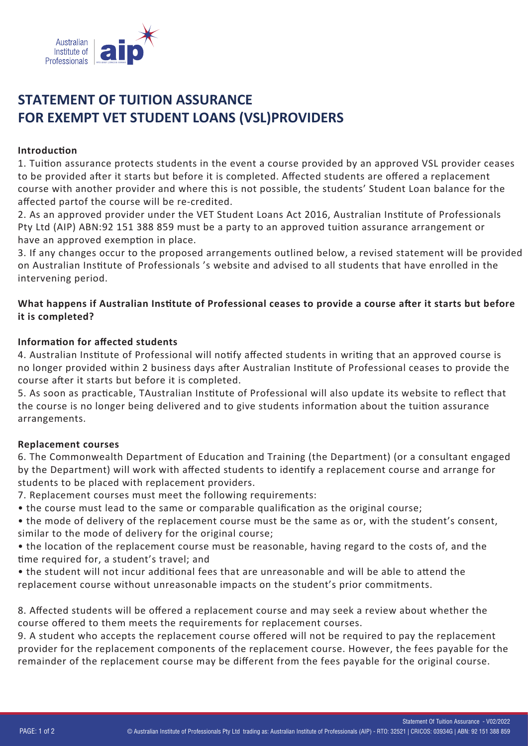

# **STATEMENT OF TUITION ASSURANCE FOR EXEMPT VET STUDENT LOANS (VSL)PROVIDERS**

#### **Introduction**

1. Tui�on assurance protects students in the event a course provided by an approved VSL provider ceases to be provided a�er it starts but before it is completed. Affected students are offered a replacement course with another provider and where this is not possible, the students' Student Loan balance for the affected partof the course will be re-credited.

2. As an approved provider under the VET Student Loans Act 2016, Australian Institute of Professionals Pty Ltd (AIP) ABN:92 151 388 859 must be a party to an approved tuition assurance arrangement or have an approved exemption in place.

3. If any changes occur to the proposed arrangements outlined below, a revised statement will be provided on Australian Ins�tute of Professionals 's website and advised to all students that have enrolled in the intervening period.

## What happens if Australian Institute of Professional ceases to provide a course after it starts but before **it is completed?**

## **Information for affected students**

4. Australian Institute of Professional will notify affected students in writing that an approved course is no longer provided within 2 business days a�er Australian Ins�tute of Professional ceases to provide the course after it starts but before it is completed.

5. As soon as prac�cable, TAustralian Ins�tute of Professional will also update its website to reflect that the course is no longer being delivered and to give students information about the tuition assurance arrangements.

## **Replacement courses**

6. The Commonwealth Department of Education and Training (the Department) (or a consultant engaged by the Department) will work with affected students to identify a replacement course and arrange for students to be placed with replacement providers.

7. Replacement courses must meet the following requirements:

• the course must lead to the same or comparable qualification as the original course;

• the mode of delivery of the replacement course must be the same as or, with the student's consent, similar to the mode of delivery for the original course;

• the location of the replacement course must be reasonable, having regard to the costs of, and the �me required for, a student's travel; and

• the student will not incur additional fees that are unreasonable and will be able to attend the replacement course without unreasonable impacts on the student's prior commitments.

8. Affected students will be offered a replacement course and may seek a review about whether the course offered to them meets the requirements for replacement courses.

9. A student who accepts the replacement course offered will not be required to pay the replacement provider for the replacement components of the replacement course. However, the fees payable for the remainder of the replacement course may be different from the fees payable for the original course.

Statement Of Tuition Assurance - V02/2022